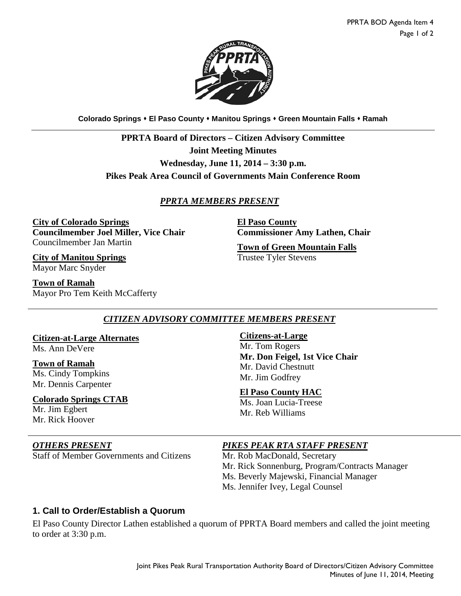

**Colorado Springs El Paso County Manitou Springs Green Mountain Falls Ramah**

**PPRTA Board of Directors – Citizen Advisory Committee Joint Meeting Minutes Wednesday, June 11, 2014 – 3:30 p.m. Pikes Peak Area Council of Governments Main Conference Room**

## *PPRTA MEMBERS PRESENT*

**City of Colorado Springs Councilmember Joel Miller, Vice Chair** Councilmember Jan Martin

**City of Manitou Springs** Mayor Marc Snyder

**Town of Ramah** Mayor Pro Tem Keith McCafferty **El Paso County Commissioner Amy Lathen, Chair**

**Town of Green Mountain Falls** Trustee Tyler Stevens

## *CITIZEN ADVISORY COMMITTEE MEMBERS PRESENT*

**Citizen-at-Large Alternates** Ms. Ann DeVere

**Town of Ramah** Ms. Cindy Tompkins Mr. Dennis Carpenter

**Colorado Springs CTAB** Mr. Jim Egbert Mr. Rick Hoover

Staff of Member Governments and Citizens Mr. Rob MacDonald, Secretary

#### **Citizens-at-Large**

Mr. Tom Rogers **Mr. Don Feigel, 1st Vice Chair** Mr. David Chestnutt Mr. Jim Godfrey

#### **El Paso County HAC**

Ms. Joan Lucia-Treese Mr. Reb Williams

#### *OTHERS PRESENT PIKES PEAK RTA STAFF PRESENT*

Mr. Rick Sonnenburg, Program/Contracts Manager Ms. Beverly Majewski, Financial Manager Ms. Jennifer Ivey, Legal Counsel

## **1. Call to Order/Establish a Quorum**

El Paso County Director Lathen established a quorum of PPRTA Board members and called the joint meeting to order at 3:30 p.m.